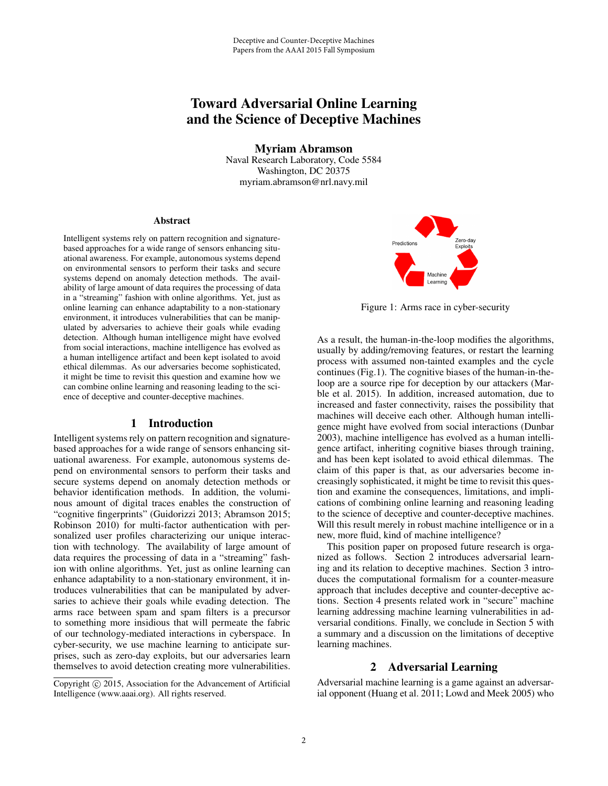# Toward Adversarial Online Learning and the Science of Deceptive Machines

Myriam Abramson

Naval Research Laboratory, Code 5584 Washington, DC 20375 myriam.abramson@nrl.navy.mil

#### Abstract

Intelligent systems rely on pattern recognition and signaturebased approaches for a wide range of sensors enhancing situational awareness. For example, autonomous systems depend on environmental sensors to perform their tasks and secure systems depend on anomaly detection methods. The availability of large amount of data requires the processing of data in a "streaming" fashion with online algorithms. Yet, just as online learning can enhance adaptability to a non-stationary environment, it introduces vulnerabilities that can be manipulated by adversaries to achieve their goals while evading detection. Although human intelligence might have evolved from social interactions, machine intelligence has evolved as a human intelligence artifact and been kept isolated to avoid ethical dilemmas. As our adversaries become sophisticated, it might be time to revisit this question and examine how we can combine online learning and reasoning leading to the science of deceptive and counter-deceptive machines.

## 1 Introduction

Intelligent systems rely on pattern recognition and signaturebased approaches for a wide range of sensors enhancing situational awareness. For example, autonomous systems depend on environmental sensors to perform their tasks and secure systems depend on anomaly detection methods or behavior identification methods. In addition, the voluminous amount of digital traces enables the construction of "cognitive fingerprints" (Guidorizzi 2013; Abramson 2015; Robinson 2010) for multi-factor authentication with personalized user profiles characterizing our unique interaction with technology. The availability of large amount of data requires the processing of data in a "streaming" fashion with online algorithms. Yet, just as online learning can enhance adaptability to a non-stationary environment, it introduces vulnerabilities that can be manipulated by adversaries to achieve their goals while evading detection. The arms race between spam and spam filters is a precursor to something more insidious that will permeate the fabric of our technology-mediated interactions in cyberspace. In cyber-security, we use machine learning to anticipate surprises, such as zero-day exploits, but our adversaries learn themselves to avoid detection creating more vulnerabilities.





Figure 1: Arms race in cyber-security

As a result, the human-in-the-loop modifies the algorithms, usually by adding/removing features, or restart the learning process with assumed non-tainted examples and the cycle continues (Fig.1). The cognitive biases of the human-in-theloop are a source ripe for deception by our attackers (Marble et al. 2015). In addition, increased automation, due to increased and faster connectivity, raises the possibility that machines will deceive each other. Although human intelligence might have evolved from social interactions (Dunbar 2003), machine intelligence has evolved as a human intelligence artifact, inheriting cognitive biases through training, and has been kept isolated to avoid ethical dilemmas. The claim of this paper is that, as our adversaries become increasingly sophisticated, it might be time to revisit this question and examine the consequences, limitations, and implications of combining online learning and reasoning leading to the science of deceptive and counter-deceptive machines. Will this result merely in robust machine intelligence or in a new, more fluid, kind of machine intelligence?

This position paper on proposed future research is organized as follows. Section 2 introduces adversarial learning and its relation to deceptive machines. Section 3 introduces the computational formalism for a counter-measure approach that includes deceptive and counter-deceptive actions. Section 4 presents related work in "secure" machine learning addressing machine learning vulnerabilities in adversarial conditions. Finally, we conclude in Section 5 with a summary and a discussion on the limitations of deceptive learning machines.

## 2 Adversarial Learning

Adversarial machine learning is a game against an adversarial opponent (Huang et al. 2011; Lowd and Meek 2005) who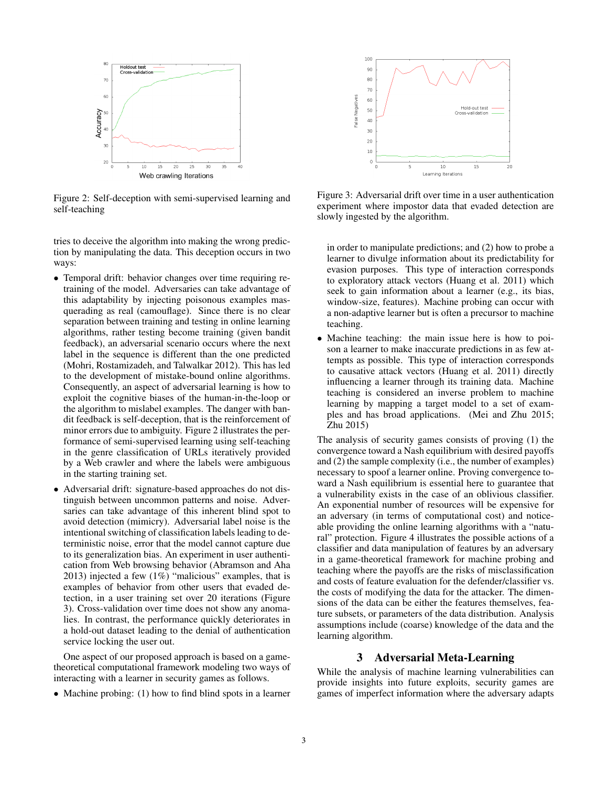

Figure 2: Self-deception with semi-supervised learning and self-teaching

tries to deceive the algorithm into making the wrong prediction by manipulating the data. This deception occurs in two ways:

- Temporal drift: behavior changes over time requiring retraining of the model. Adversaries can take advantage of this adaptability by injecting poisonous examples masquerading as real (camouflage). Since there is no clear separation between training and testing in online learning algorithms, rather testing become training (given bandit feedback), an adversarial scenario occurs where the next label in the sequence is different than the one predicted (Mohri, Rostamizadeh, and Talwalkar 2012). This has led to the development of mistake-bound online algorithms. Consequently, an aspect of adversarial learning is how to exploit the cognitive biases of the human-in-the-loop or the algorithm to mislabel examples. The danger with bandit feedback is self-deception, that is the reinforcement of minor errors due to ambiguity. Figure 2 illustrates the performance of semi-supervised learning using self-teaching in the genre classification of URLs iteratively provided by a Web crawler and where the labels were ambiguous in the starting training set.
- Adversarial drift: signature-based approaches do not distinguish between uncommon patterns and noise. Adversaries can take advantage of this inherent blind spot to avoid detection (mimicry). Adversarial label noise is the intentional switching of classification labels leading to deterministic noise, error that the model cannot capture due to its generalization bias. An experiment in user authentication from Web browsing behavior (Abramson and Aha 2013) injected a few  $(1\%)$  "malicious" examples, that is examples of behavior from other users that evaded detection, in a user training set over 20 iterations (Figure 3). Cross-validation over time does not show any anomalies. In contrast, the performance quickly deteriorates in a hold-out dataset leading to the denial of authentication service locking the user out.

One aspect of our proposed approach is based on a gametheoretical computational framework modeling two ways of interacting with a learner in security games as follows.

• Machine probing: (1) how to find blind spots in a learner



Figure 3: Adversarial drift over time in a user authentication experiment where impostor data that evaded detection are slowly ingested by the algorithm.

in order to manipulate predictions; and (2) how to probe a learner to divulge information about its predictability for evasion purposes. This type of interaction corresponds to exploratory attack vectors (Huang et al. 2011) which seek to gain information about a learner (e.g., its bias, window-size, features). Machine probing can occur with a non-adaptive learner but is often a precursor to machine teaching.

• Machine teaching: the main issue here is how to poison a learner to make inaccurate predictions in as few attempts as possible. This type of interaction corresponds to causative attack vectors (Huang et al. 2011) directly influencing a learner through its training data. Machine teaching is considered an inverse problem to machine learning by mapping a target model to a set of examples and has broad applications. (Mei and Zhu 2015; Zhu 2015)

The analysis of security games consists of proving (1) the convergence toward a Nash equilibrium with desired payoffs and (2) the sample complexity (i.e., the number of examples) necessary to spoof a learner online. Proving convergence toward a Nash equilibrium is essential here to guarantee that a vulnerability exists in the case of an oblivious classifier. An exponential number of resources will be expensive for an adversary (in terms of computational cost) and noticeable providing the online learning algorithms with a "natural" protection. Figure 4 illustrates the possible actions of a classifier and data manipulation of features by an adversary in a game-theoretical framework for machine probing and teaching where the payoffs are the risks of misclassification and costs of feature evaluation for the defender/classifier vs. the costs of modifying the data for the attacker. The dimensions of the data can be either the features themselves, feature subsets, or parameters of the data distribution. Analysis assumptions include (coarse) knowledge of the data and the learning algorithm.

## 3 Adversarial Meta-Learning

While the analysis of machine learning vulnerabilities can provide insights into future exploits, security games are games of imperfect information where the adversary adapts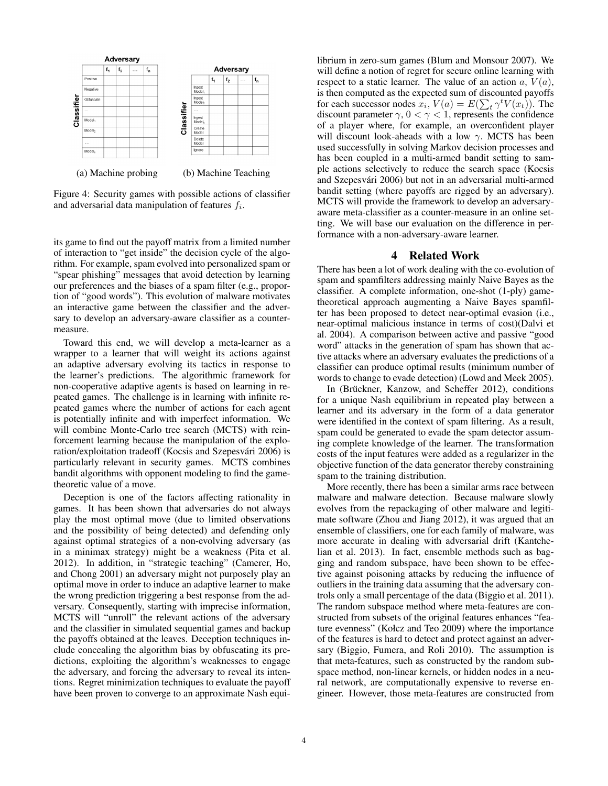

Figure 4: Security games with possible actions of classifier and adversarial data manipulation of features  $f_i$ .

its game to find out the payoff matrix from a limited number of interaction to "get inside" the decision cycle of the algorithm. For example, spam evolved into personalized spam or "spear phishing" messages that avoid detection by learning our preferences and the biases of a spam filter (e.g., proportion of "good words"). This evolution of malware motivates an interactive game between the classifier and the adversary to develop an adversary-aware classifier as a countermeasure.

Toward this end, we will develop a meta-learner as a wrapper to a learner that will weight its actions against an adaptive adversary evolving its tactics in response to the learner's predictions. The algorithmic framework for non-cooperative adaptive agents is based on learning in repeated games. The challenge is in learning with infinite repeated games where the number of actions for each agent is potentially infinite and with imperfect information. We will combine Monte-Carlo tree search (MCTS) with reinforcement learning because the manipulation of the exploration/exploitation tradeoff (Kocsis and Szepesvári 2006) is particularly relevant in security games. MCTS combines bandit algorithms with opponent modeling to find the gametheoretic value of a move.

Deception is one of the factors affecting rationality in games. It has been shown that adversaries do not always play the most optimal move (due to limited observations and the possibility of being detected) and defending only against optimal strategies of a non-evolving adversary (as in a minimax strategy) might be a weakness (Pita et al. 2012). In addition, in "strategic teaching" (Camerer, Ho, and Chong 2001) an adversary might not purposely play an optimal move in order to induce an adaptive learner to make the wrong prediction triggering a best response from the adversary. Consequently, starting with imprecise information, MCTS will "unroll" the relevant actions of the adversary and the classifier in simulated sequential games and backup the payoffs obtained at the leaves. Deception techniques include concealing the algorithm bias by obfuscating its predictions, exploiting the algorithm's weaknesses to engage the adversary, and forcing the adversary to reveal its intentions. Regret minimization techniques to evaluate the payoff have been proven to converge to an approximate Nash equi-

librium in zero-sum games (Blum and Monsour 2007). We will define a notion of regret for secure online learning with respect to a static learner. The value of an action  $a, V(a)$ , is then computed as the expected sum of discounted payoffs for each successor nodes  $\bar{x}_i$ ,  $V(a) = E(\sum_t \gamma^t V(x_t))$ . The discount parameter  $\gamma$ ,  $0 < \gamma < 1$ , represents the confidence of a player where, for example, an overconfident player will discount look-aheads with a low  $\gamma$ . MCTS has been used successfully in solving Markov decision processes and has been coupled in a multi-armed bandit setting to sample actions selectively to reduce the search space (Kocsis and Szepesvári 2006) but not in an adversarial multi-armed bandit setting (where payoffs are rigged by an adversary). MCTS will provide the framework to develop an adversaryaware meta-classifier as a counter-measure in an online setting. We will base our evaluation on the difference in performance with a non-adversary-aware learner.

### 4 Related Work

There has been a lot of work dealing with the co-evolution of spam and spamfilters addressing mainly Naive Bayes as the classifier. A complete information, one-shot (1-ply) gametheoretical approach augmenting a Naive Bayes spamfilter has been proposed to detect near-optimal evasion (i.e., near-optimal malicious instance in terms of cost)(Dalvi et al. 2004). A comparison between active and passive "good word" attacks in the generation of spam has shown that active attacks where an adversary evaluates the predictions of a classifier can produce optimal results (minimum number of words to change to evade detection) (Lowd and Meek 2005).

In (Brückner, Kanzow, and Scheffer 2012), conditions for a unique Nash equilibrium in repeated play between a learner and its adversary in the form of a data generator were identified in the context of spam filtering. As a result, spam could be generated to evade the spam detector assuming complete knowledge of the learner. The transformation costs of the input features were added as a regularizer in the objective function of the data generator thereby constraining spam to the training distribution.

More recently, there has been a similar arms race between malware and malware detection. Because malware slowly evolves from the repackaging of other malware and legitimate software (Zhou and Jiang 2012), it was argued that an ensemble of classifiers, one for each family of malware, was more accurate in dealing with adversarial drift (Kantchelian et al. 2013). In fact, ensemble methods such as bagging and random subspace, have been shown to be effective against poisoning attacks by reducing the influence of outliers in the training data assuming that the adversary controls only a small percentage of the data (Biggio et al. 2011). The random subspace method where meta-features are constructed from subsets of the original features enhances "feature evenness" (Kołcz and Teo 2009) where the importance of the features is hard to detect and protect against an adversary (Biggio, Fumera, and Roli 2010). The assumption is that meta-features, such as constructed by the random subspace method, non-linear kernels, or hidden nodes in a neural network, are computationally expensive to reverse engineer. However, those meta-features are constructed from